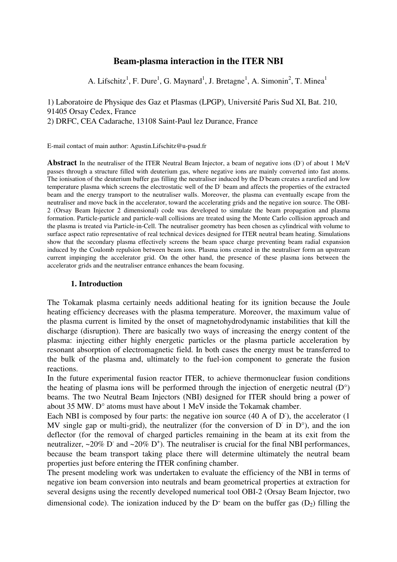# **Beam-plasma interaction in the ITER NBI**

A. Lifschitz<sup>1</sup>, F. Dure<sup>1</sup>, G. Maynard<sup>1</sup>, J. Bretagne<sup>1</sup>, A. Simonin<sup>2</sup>, T. Minea<sup>1</sup>

1) Laboratoire de Physique des Gaz et Plasmas (LPGP), Université Paris Sud XI, Bat. 210, 91405 Orsay Cedex, France 2) DRFC, CEA Cadarache, 13108 Saint-Paul lez Durance, France

E-mail contact of main author: Agustin.Lifschitz@u-psud.fr

Abstract In the neutraliser of the ITER Neutral Beam Injector, a beam of negative ions (D<sup>-</sup>) of about 1 MeV passes through a structure filled with deuterium gas, where negative ions are mainly converted into fast atoms. The ionisation of the deuterium buffer gas filling the neutraliser induced by the D beam creates a rarefied and low temperature plasma which screens the electrostatic well of the D beam and affects the properties of the extracted beam and the energy transport to the neutraliser walls. Moreover, the plasma can eventually escape from the neutraliser and move back in the accelerator, toward the accelerating grids and the negative ion source. The OBI-2 (Orsay Beam Injector 2 dimensional) code was developed to simulate the beam propagation and plasma formation. Particle-particle and particle-wall collisions are treated using the Monte Carlo collision approach and the plasma is treated via Particle-in-Cell. The neutraliser geometry has been chosen as cylindrical with volume to surface aspect ratio representative of real technical devices designed for ITER neutral beam heating. Simulations show that the secondary plasma effectively screens the beam space charge preventing beam radial expansion induced by the Coulomb repulsion between beam ions. Plasma ions created in the neutraliser form an upstream current impinging the accelerator grid. On the other hand, the presence of these plasma ions between the accelerator grids and the neutraliser entrance enhances the beam focusing.

## **1. Introduction**

The Tokamak plasma certainly needs additional heating for its ignition because the Joule heating efficiency decreases with the plasma temperature. Moreover, the maximum value of the plasma current is limited by the onset of magnetohydrodynamic instabilities that kill the discharge (disruption). There are basically two ways of increasing the energy content of the plasma: injecting either highly energetic particles or the plasma particle acceleration by resonant absorption of electromagnetic field. In both cases the energy must be transferred to the bulk of the plasma and, ultimately to the fuel-ion component to generate the fusion reactions.

In the future experimental fusion reactor ITER, to achieve thermonuclear fusion conditions the heating of plasma ions will be performed through the injection of energetic neutral  $(D^{\circ})$ beams. The two Neutral Beam Injectors (NBI) designed for ITER should bring a power of about 35 MW. D° atoms must have about 1 MeV inside the Tokamak chamber.

Each NBI is composed by four parts: the negative ion source (40 A of D<sup>-</sup>), the accelerator (1 MV single gap or multi-grid), the neutralizer (for the conversion of  $D^-$  in  $D^{\circ}$ ), and the ion deflector (for the removal of charged particles remaining in the beam at its exit from the neutralizer,  $\sim$ 20% D<sup>-</sup> and  $\sim$ 20% D<sup>+</sup>). The neutraliser is crucial for the final NBI performances, because the beam transport taking place there will determine ultimately the neutral beam properties just before entering the ITER confining chamber.

The present modeling work was undertaken to evaluate the efficiency of the NBI in terms of negative ion beam conversion into neutrals and beam geometrical properties at extraction for several designs using the recently developed numerical tool OBI-2 (Orsay Beam Injector, two dimensional code). The ionization induced by the  $D<sup>-</sup>$  beam on the buffer gas  $(D<sub>2</sub>)$  filling the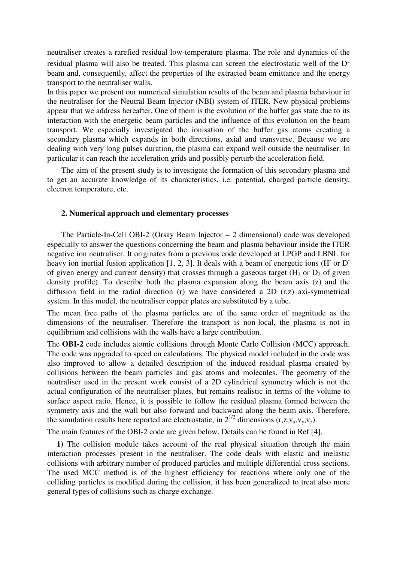neutraliser creates a rarefied residual low-temperature plasma. The role and dynamics of the residual plasma will also be treated. This plasma can screen the electrostatic well of the Dbeam and, consequently, affect the properties of the extracted beam emittance and the energy transport to the neutraliser walls.

In this paper we present our numerical simulation results of the beam and plasma behaviour in the neutraliser for the Neutral Beam Injector (NBI) system of ITER. New physical problems appear that we address hereafter. One of them is the evolution of the buffer gas state due to its interaction with the energetic beam particles and the influence of this evolution on the beam transport. We especially investigated the ionisation of the buffer gas atoms creating a secondary plasma which expands in both directions, axial and transverse. Because we are dealing with very long pulses duration, the plasma can expand well outside the neutraliser. In particular it can reach the acceleration grids and possibly perturb the acceleration field.

The aim of the present study is to investigate the formation of this secondary plasma and to get an accurate knowledge of its characteristics, i.e. potential, charged particle density, electron temperature, etc.

#### **2. Numerical approach and elementary processes**

The Particle-In-Cell OBI-2 (Orsay Beam Injector – 2 dimensional) code was developed especially to answer the questions concerning the beam and plasma behaviour inside the ITER negative ion neutraliser. It originates from a previous code developed at LPGP and LBNL for heavy ion inertial fusion application  $[1, 2, 3]$ . It deals with a beam of energetic ions (H or D of given energy and current density) that crosses through a gaseous target ( $H_2$  or  $D_2$  of given density profile). To describe both the plasma expansion along the beam axis (z) and the diffusion field in the radial direction (r) we have considered a 2D (r,z) axi-symmetrical system. In this model, the neutraliser copper plates are substituted by a tube.

The mean free paths of the plasma particles are of the same order of magnitude as the dimensions of the neutraliser. Therefore the transport is non-local, the plasma is not in equilibrium and collisions with the walls have a large contribution.

The **OBI-2** code includes atomic collisions through Monte Carlo Collision (MCC) approach. The code was upgraded to speed on calculations. The physical model included in the code was also improved to allow a detailed description of the induced residual plasma created by collisions between the beam particles and gas atoms and molecules. The geometry of the neutraliser used in the present work consist of a 2D cylindrical symmetry which is not the actual configuration of the neutraliser plates, but remains realistic in terms of the volume to surface aspect ratio. Hence, it is possible to follow the residual plasma formed between the symmetry axis and the wall but also forward and backward along the beam axis. Therefore, the simulation results here reported are electrostatic, in  $2^{1/2}$  dimensions (r,z,v<sub>x</sub>,v<sub>y</sub>,v<sub>z</sub>).

The main features of the OBI-2 code are given below. Details can be found in Ref [4].

**1)** The collision module takes account of the real physical situation through the main interaction processes present in the neutraliser. The code deals with elastic and inelastic collisions with arbitrary number of produced particles and multiple differential cross sections. The used MCC method is of the highest efficiency for reactions where only one of the colliding particles is modified during the collision, it has been generalized to treat also more general types of collisions such as charge exchange.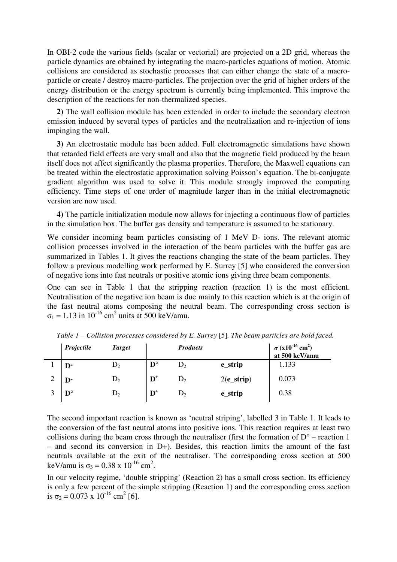In OBI-2 code the various fields (scalar or vectorial) are projected on a 2D grid, whereas the particle dynamics are obtained by integrating the macro-particles equations of motion. Atomic collisions are considered as stochastic processes that can either change the state of a macroparticle or create / destroy macro-particles. The projection over the grid of higher orders of the energy distribution or the energy spectrum is currently being implemented. This improve the description of the reactions for non-thermalized species.

**2)** The wall collision module has been extended in order to include the secondary electron emission induced by several types of particles and the neutralization and re-injection of ions impinging the wall.

**3)** An electrostatic module has been added. Full electromagnetic simulations have shown that retarded field effects are very small and also that the magnetic field produced by the beam itself does not affect significantly the plasma properties. Therefore, the Maxwell equations can be treated within the electrostatic approximation solving Poisson's equation. The bi-conjugate gradient algorithm was used to solve it. This module strongly improved the computing efficiency. Time steps of one order of magnitude larger than in the initial electromagnetic version are now used.

**4)** The particle initialization module now allows for injecting a continuous flow of particles in the simulation box. The buffer gas density and temperature is assumed to be stationary.

We consider incoming beam particles consisting of 1 MeV D- ions. The relevant atomic collision processes involved in the interaction of the beam particles with the buffer gas are summarized in Tables 1. It gives the reactions changing the state of the beam particles. They follow a previous modelling work performed by E. Surrey [5] who considered the conversion of negative ions into fast neutrals or positive atomic ions giving three beam components.

One can see in Table 1 that the stripping reaction (reaction 1) is the most efficient. Neutralisation of the negative ion beam is due mainly to this reaction which is at the origin of the fast neutral atoms composing the neutral beam. The corresponding cross section is  $\sigma_1 = 1.13$  in 10<sup>-16</sup> cm<sup>2</sup> units at 500 keV/amu.

| Projectile           | <b>Target</b>  |                        | <b>Products</b> |                | $\sigma (x10^{-16}$ cm <sup>2</sup> )<br>at 500 keV/amu |
|----------------------|----------------|------------------------|-----------------|----------------|---------------------------------------------------------|
| $\mathbf{D}$         | D,             | $\mathbf{D}^{\circ}$   | $\mathrm{D}_2$  | e_strip        | 1.133                                                   |
| $\mathbf{D}$         | D,             | $\mathbf{D}^*$         | $D_2$           | $2(e_{strip})$ | 0.073                                                   |
| $\mathbf{D}^{\circ}$ | $\mathrm{D}_2$ | $\mathbf{D}^{\dagger}$ | $D_2$           | e_strip        | 0.38                                                    |

*Table 1 – Collision processes considered by E. Surrey* [5]*. The beam particles are bold faced.* 

The second important reaction is known as 'neutral striping', labelled 3 in Table 1. It leads to the conversion of the fast neutral atoms into positive ions. This reaction requires at least two collisions during the beam cross through the neutraliser (first the formation of  $D^{\circ}$  – reaction 1 – and second its conversion in D+). Besides, this reaction limits the amount of the fast neutrals available at the exit of the neutraliser. The corresponding cross section at 500 keV/amu is  $\sigma_3 = 0.38 \times 10^{-16} \text{ cm}^2$ .

In our velocity regime, 'double stripping' (Reaction 2) has a small cross section. Its efficiency is only a few percent of the simple stripping (Reaction 1) and the corresponding cross section is  $\sigma_2 = 0.073 \times 10^{-16} \text{ cm}^2$  [6].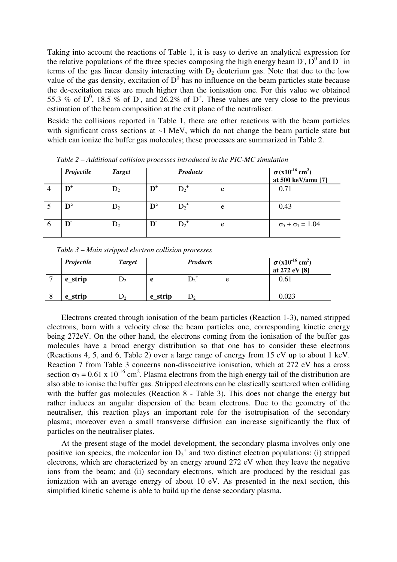Taking into account the reactions of Table 1, it is easy to derive an analytical expression for the relative populations of the three species composing the high energy beam D,  $\overline{D}^0$  and  $D^+$  in terms of the gas linear density interacting with  $D<sub>2</sub>$  deuterium gas. Note that due to the low value of the gas density, excitation of  $D^0$  has no influence on the beam particles state because the de-excitation rates are much higher than the ionisation one. For this value we obtained 55.3 % of  $D^0$ , 18.5 % of D, and 26.2% of  $D^+$ . These values are very close to the previous estimation of the beam composition at the exit plane of the neutraliser.

Beside the collisions reported in Table 1, there are other reactions with the beam particles with significant cross sections at  $\sim$ 1 MeV, which do not change the beam particle state but which can ionize the buffer gas molecules; these processes are summarized in Table 2.

|          | Projectile           | <b>Target</b> |                      | <b>Products</b> |   | $\sigma(x10^{-16} \text{ cm}^2)$<br>at 500 keV/amu [7] |
|----------|----------------------|---------------|----------------------|-----------------|---|--------------------------------------------------------|
|          | $\mathbf{D}^+$       | D,            | $\mathbf{D}^+$       | $D_2^+$         | e | 0.71                                                   |
|          | $\mathbf{D}^{\circ}$ |               | $\mathbf{D}^{\circ}$ | $D_2^+$         | e | 0.43                                                   |
| $\sigma$ | D.                   |               | D                    |                 | e | $\sigma_5 + \sigma_7 = 1.04$                           |

*Table 2 – Additional collision processes introduced in the PIC-MC simulation* 

| Projectile | <b>Target</b> | <b>Products</b> |                | $\sigma (x10^{-16} \text{ cm}^2)$<br>at 272 eV [8] |       |
|------------|---------------|-----------------|----------------|----------------------------------------------------|-------|
| e_strip    |               | e               |                | e                                                  | 0.61  |
| e strip    | ەر            | e strip         | $\mathbf{D}_2$ |                                                    | 0.023 |

*Table 3 – Main stripped electron collision processes* 

Electrons created through ionisation of the beam particles (Reaction 1-3), named stripped electrons, born with a velocity close the beam particles one, corresponding kinetic energy being 272eV. On the other hand, the electrons coming from the ionisation of the buffer gas molecules have a broad energy distribution so that one has to consider these electrons (Reactions 4, 5, and 6, Table 2) over a large range of energy from 15 eV up to about 1 keV. Reaction 7 from Table 3 concerns non-dissociative ionisation, which at 272 eV has a cross section  $\sigma_7 = 0.61 \times 10^{-16}$  cm<sup>2</sup>. Plasma electrons from the high energy tail of the distribution are also able to ionise the buffer gas. Stripped electrons can be elastically scattered when colliding with the buffer gas molecules (Reaction 8 - Table 3). This does not change the energy but rather induces an angular dispersion of the beam electrons. Due to the geometry of the neutraliser, this reaction plays an important role for the isotropisation of the secondary plasma; moreover even a small transverse diffusion can increase significantly the flux of particles on the neutraliser plates.

At the present stage of the model development, the secondary plasma involves only one positive ion species, the molecular ion  $D_2^+$  and two distinct electron populations: (i) stripped electrons, which are characterized by an energy around 272 eV when they leave the negative ions from the beam; and (ii) secondary electrons, which are produced by the residual gas ionization with an average energy of about 10 eV. As presented in the next section, this simplified kinetic scheme is able to build up the dense secondary plasma.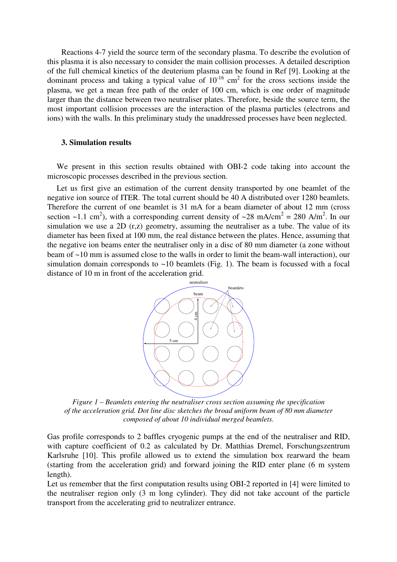Reactions 4-7 yield the source term of the secondary plasma. To describe the evolution of this plasma it is also necessary to consider the main collision processes. A detailed description of the full chemical kinetics of the deuterium plasma can be found in Ref [9]. Looking at the dominant process and taking a typical value of  $10^{-16}$  cm<sup>2</sup> for the cross sections inside the plasma, we get a mean free path of the order of 100 cm, which is one order of magnitude larger than the distance between two neutraliser plates. Therefore, beside the source term, the most important collision processes are the interaction of the plasma particles (electrons and ions) with the walls. In this preliminary study the unaddressed processes have been neglected.

### **3. Simulation results**

 We present in this section results obtained with OBI-2 code taking into account the microscopic processes described in the previous section.

 Let us first give an estimation of the current density transported by one beamlet of the negative ion source of ITER. The total current should be 40 A distributed over 1280 beamlets. Therefore the current of one beamlet is 31 mA for a beam diameter of about 12 mm (cross section ~1.1 cm<sup>2</sup>), with a corresponding current density of ~28 mA/cm<sup>2</sup> = 280 A/m<sup>2</sup>. In our simulation we use a 2D (r,z) geometry, assuming the neutraliser as a tube. The value of its diameter has been fixed at 100 mm, the real distance between the plates. Hence, assuming that the negative ion beams enter the neutraliser only in a disc of 80 mm diameter (a zone without beam of ~10 mm is assumed close to the walls in order to limit the beam-wall interaction), our simulation domain corresponds to  $\sim$ 10 beamlets (Fig. 1). The beam is focussed with a focal distance of 10 m in front of the acceleration grid.



*Figure 1 – Beamlets entering the neutraliser cross section assuming the specification of the acceleration grid. Dot line disc sketches the broad uniform beam of 80 mm diameter composed of about 10 individual merged beamlets.* 

Gas profile corresponds to 2 baffles cryogenic pumps at the end of the neutraliser and RID, with capture coefficient of 0.2 as calculated by Dr. Matthias Dremel, Forschungszentrum Karlsruhe [10]. This profile allowed us to extend the simulation box rearward the beam (starting from the acceleration grid) and forward joining the RID enter plane (6 m system length).

Let us remember that the first computation results using OBI-2 reported in [4] were limited to the neutraliser region only (3 m long cylinder). They did not take account of the particle transport from the accelerating grid to neutralizer entrance.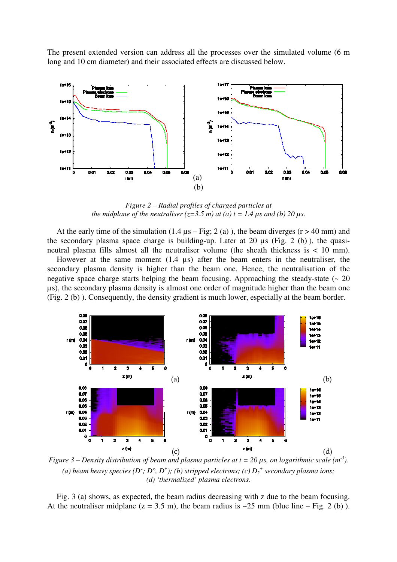The present extended version can address all the processes over the simulated volume (6 m long and 10 cm diameter) and their associated effects are discussed below.



*Figure 2 – Radial profiles of charged particles at the midplane of the neutraliser (* $z=3.5$  *m) at (a) t = 1.4*  $\mu$ *s and (b) 20*  $\mu$ *s.* 

At the early time of the simulation  $(1.4 \mu s - Fig; 2 (a))$ , the beam diverges  $(r > 40 \text{ mm})$  and the secondary plasma space charge is building-up. Later at 20  $\mu$ s (Fig. 2 (b)), the quasineutral plasma fills almost all the neutraliser volume (the sheath thickness is < 10 mm).

 However at the same moment (1.4 µs) after the beam enters in the neutraliser, the secondary plasma density is higher than the beam one. Hence, the neutralisation of the negative space charge starts helping the beam focusing. Approaching the steady-state ( $\sim 20$ ) µs), the secondary plasma density is almost one order of magnitude higher than the beam one (Fig. 2 (b) ). Consequently, the density gradient is much lower, especially at the beam border.



*Figure 3 – Density distribution of beam and plasma particles at*  $t = 20 \mu s$ *, on logarithmic scale (m<sup>-3</sup>).* (a) beam heavy species (D<sup>-</sup>; D<sup>o</sup>, D<sup>+</sup>); (b) stripped electrons; (c)  $D_2^+$  secondary plasma ions; *(d) 'thermalized' plasma electrons.* 

 Fig. 3 (a) shows, as expected, the beam radius decreasing with z due to the beam focusing. At the neutraliser midplane ( $z = 3.5$  m), the beam radius is  $\approx 25$  mm (blue line – Fig. 2 (b)).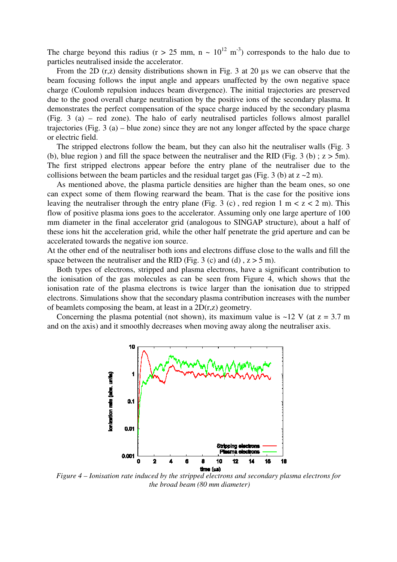The charge beyond this radius ( $r > 25$  mm,  $n \sim 10^{12}$  m<sup>-3</sup>) corresponds to the halo due to particles neutralised inside the accelerator.

From the 2D  $(r, z)$  density distributions shown in Fig. 3 at 20 us we can observe that the beam focusing follows the input angle and appears unaffected by the own negative space charge (Coulomb repulsion induces beam divergence). The initial trajectories are preserved due to the good overall charge neutralisation by the positive ions of the secondary plasma. It demonstrates the perfect compensation of the space charge induced by the secondary plasma (Fig. 3 (a) – red zone). The halo of early neutralised particles follows almost parallel trajectories (Fig. 3 (a) – blue zone) since they are not any longer affected by the space charge or electric field.

 The stripped electrons follow the beam, but they can also hit the neutraliser walls (Fig. 3 (b), blue region) and fill the space between the neutraliser and the RID (Fig. 3 (b);  $z > 5$ m). The first stripped electrons appear before the entry plane of the neutraliser due to the collisions between the beam particles and the residual target gas (Fig. 3 (b) at  $z \sim 2$  m).

 As mentioned above, the plasma particle densities are higher than the beam ones, so one can expect some of them flowing rearward the beam. That is the case for the positive ions leaving the neutraliser through the entry plane (Fig. 3 (c), red region 1 m  $\lt$  z  $\lt$  2 m). This flow of positive plasma ions goes to the accelerator. Assuming only one large aperture of 100 mm diameter in the final accelerator grid (analogous to SINGAP structure), about a half of these ions hit the acceleration grid, while the other half penetrate the grid aperture and can be accelerated towards the negative ion source.

At the other end of the neutraliser both ions and electrons diffuse close to the walls and fill the space between the neutraliser and the RID (Fig. 3 (c) and (d),  $z > 5$  m).

 Both types of electrons, stripped and plasma electrons, have a significant contribution to the ionisation of the gas molecules as can be seen from Figure 4, which shows that the ionisation rate of the plasma electrons is twice larger than the ionisation due to stripped electrons. Simulations show that the secondary plasma contribution increases with the number of beamlets composing the beam, at least in a 2D(r,z) geometry.

Concerning the plasma potential (not shown), its maximum value is  $\sim$ 12 V (at z = 3.7 m and on the axis) and it smoothly decreases when moving away along the neutraliser axis.



*Figure 4 – Ionisation rate induced by the stripped electrons and secondary plasma electrons for the broad beam (80 mm diameter)*